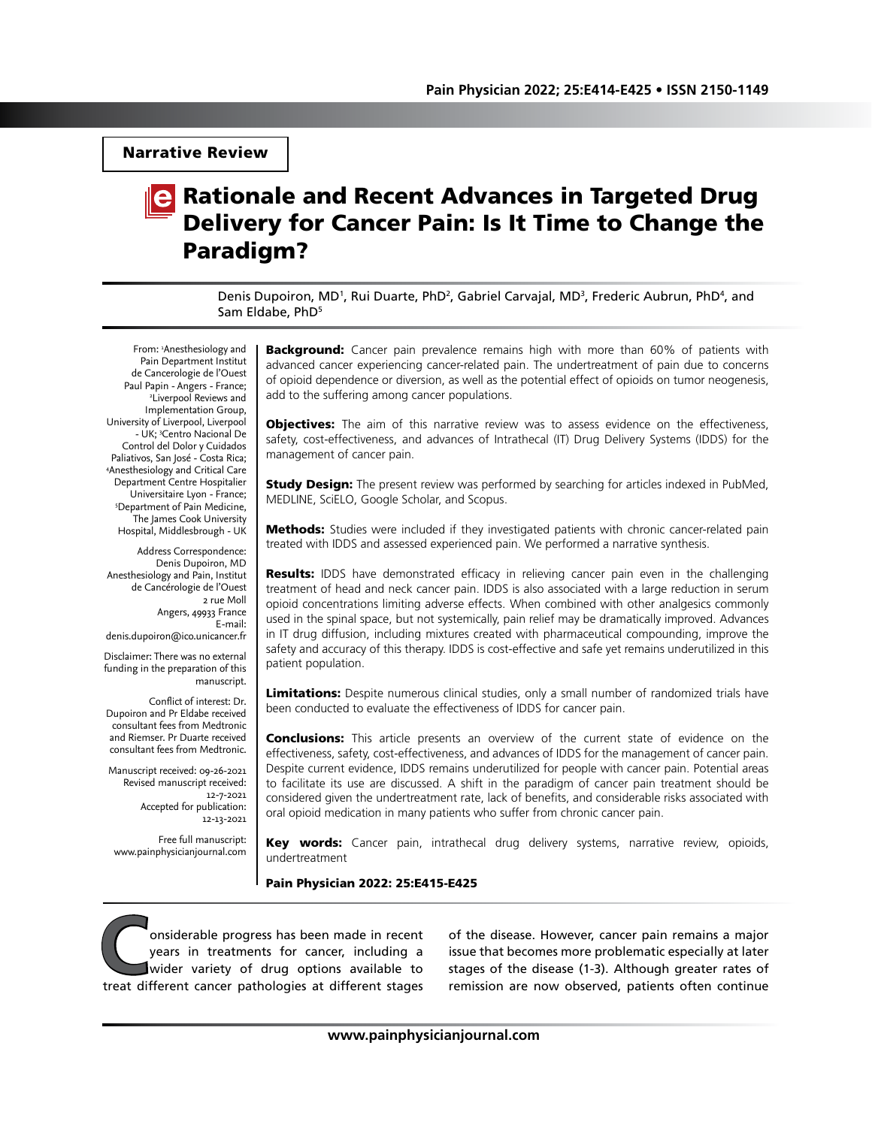Narrative Review

# **Rationale and Recent Advances in Targeted Drug** Delivery for Cancer Pain: Is It Time to Change the Paradigm?

Denis Dupoiron, MD<sup>1</sup>, Rui Duarte, PhD<sup>2</sup>, Gabriel Carvajal, MD<sup>3</sup>, Frederic Aubrun, PhD<sup>4</sup>, and Sam Eldabe, PhD<sup>5</sup>

From: 1 Anesthesiology and Pain Department Institut de Cancerologie de l'Ouest Paul Papin - Angers - France; Liverpool Reviews and Implementation Group, University of Liverpool, Liverpool - UK; 3 Centro Nacional De Control del Dolor y Cuidados Paliativos, San José - Costa Rica; 4 Anesthesiology and Critical Care Department Centre Hospitalier Universitaire Lyon - France; 5 Department of Pain Medicine, The James Cook University Hospital, Middlesbrough - UK

Address Correspondence: Denis Dupoiron, MD Anesthesiology and Pain, Institut de Cancérologie de l'Ouest 2 rue Moll Angers, 49933 France E-mail: denis.dupoiron@ico.unicancer.fr

Disclaimer: There was no external funding in the preparation of this manuscript.

Conflict of interest: Dr. Dupoiron and Pr Eldabe received consultant fees from Medtronic and Riemser. Pr Duarte received consultant fees from Medtronic.

Manuscript received: 09-26-2021 Revised manuscript received: 12-7-2021 Accepted for publication: 12-13-2021

Free full manuscript: www.painphysicianjournal.com

**Background:** Cancer pain prevalence remains high with more than 60% of patients with advanced cancer experiencing cancer-related pain. The undertreatment of pain due to concerns of opioid dependence or diversion, as well as the potential effect of opioids on tumor neogenesis, add to the suffering among cancer populations.

**Objectives:** The aim of this narrative review was to assess evidence on the effectiveness, safety, cost-effectiveness, and advances of Intrathecal (IT) Drug Delivery Systems (IDDS) for the management of cancer pain.

**Study Design:** The present review was performed by searching for articles indexed in PubMed, MEDLINE, SciELO, Google Scholar, and Scopus.

**Methods:** Studies were included if they investigated patients with chronic cancer-related pain treated with IDDS and assessed experienced pain. We performed a narrative synthesis.

**Results:** IDDS have demonstrated efficacy in relieving cancer pain even in the challenging treatment of head and neck cancer pain. IDDS is also associated with a large reduction in serum opioid concentrations limiting adverse effects. When combined with other analgesics commonly used in the spinal space, but not systemically, pain relief may be dramatically improved. Advances in IT drug diffusion, including mixtures created with pharmaceutical compounding, improve the safety and accuracy of this therapy. IDDS is cost-effective and safe yet remains underutilized in this patient population.

Limitations: Despite numerous clinical studies, only a small number of randomized trials have been conducted to evaluate the effectiveness of IDDS for cancer pain.

**Conclusions:** This article presents an overview of the current state of evidence on the effectiveness, safety, cost-effectiveness, and advances of IDDS for the management of cancer pain. Despite current evidence, IDDS remains underutilized for people with cancer pain. Potential areas to facilitate its use are discussed. A shift in the paradigm of cancer pain treatment should be considered given the undertreatment rate, lack of benefits, and considerable risks associated with oral opioid medication in many patients who suffer from chronic cancer pain.

Key words: Cancer pain, intrathecal drug delivery systems, narrative review, opioids, undertreatment

Pain Physician 2022: 25:E415-E425

**Considerable progress has been made in recent** years in treatments for cancer, including a wider variety of drug options available to treat different cancer pathologies at different stages years in treatments for cancer, including a wider variety of drug options available to

of the disease. However, cancer pain remains a major issue that becomes more problematic especially at later stages of the disease (1-3). Although greater rates of remission are now observed, patients often continue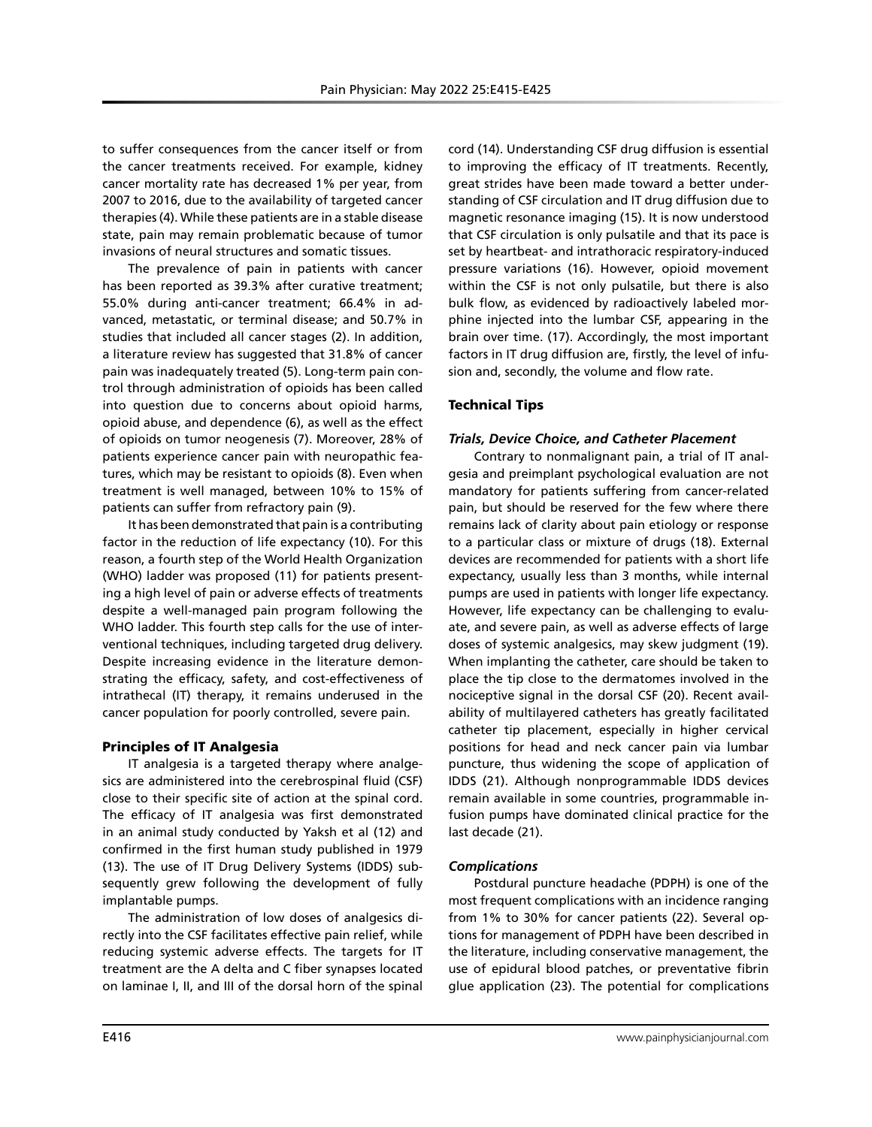to suffer consequences from the cancer itself or from the cancer treatments received. For example, kidney cancer mortality rate has decreased 1% per year, from 2007 to 2016, due to the availability of targeted cancer therapies (4). While these patients are in a stable disease state, pain may remain problematic because of tumor invasions of neural structures and somatic tissues.

The prevalence of pain in patients with cancer has been reported as 39.3% after curative treatment; 55.0% during anti-cancer treatment; 66.4% in advanced, metastatic, or terminal disease; and 50.7% in studies that included all cancer stages (2). In addition, a literature review has suggested that 31.8% of cancer pain was inadequately treated (5). Long-term pain control through administration of opioids has been called into question due to concerns about opioid harms, opioid abuse, and dependence (6), as well as the effect of opioids on tumor neogenesis (7). Moreover, 28% of patients experience cancer pain with neuropathic features, which may be resistant to opioids (8). Even when treatment is well managed, between 10% to 15% of patients can suffer from refractory pain (9).

It has been demonstrated that pain is a contributing factor in the reduction of life expectancy (10). For this reason, a fourth step of the World Health Organization (WHO) ladder was proposed (11) for patients presenting a high level of pain or adverse effects of treatments despite a well-managed pain program following the WHO ladder. This fourth step calls for the use of interventional techniques, including targeted drug delivery. Despite increasing evidence in the literature demonstrating the efficacy, safety, and cost-effectiveness of intrathecal (IT) therapy, it remains underused in the cancer population for poorly controlled, severe pain.

# Principles of IT Analgesia

IT analgesia is a targeted therapy where analgesics are administered into the cerebrospinal fluid (CSF) close to their specific site of action at the spinal cord. The efficacy of IT analgesia was first demonstrated in an animal study conducted by Yaksh et al (12) and confirmed in the first human study published in 1979 (13). The use of IT Drug Delivery Systems (IDDS) subsequently grew following the development of fully implantable pumps.

The administration of low doses of analgesics directly into the CSF facilitates effective pain relief, while reducing systemic adverse effects. The targets for IT treatment are the A delta and C fiber synapses located on laminae I, II, and III of the dorsal horn of the spinal cord (14). Understanding CSF drug diffusion is essential to improving the efficacy of IT treatments. Recently, great strides have been made toward a better understanding of CSF circulation and IT drug diffusion due to magnetic resonance imaging (15). It is now understood that CSF circulation is only pulsatile and that its pace is set by heartbeat- and intrathoracic respiratory-induced pressure variations (16). However, opioid movement within the CSF is not only pulsatile, but there is also bulk flow, as evidenced by radioactively labeled morphine injected into the lumbar CSF, appearing in the brain over time. (17). Accordingly, the most important factors in IT drug diffusion are, firstly, the level of infusion and, secondly, the volume and flow rate.

# Technical Tips

### *Trials, Device Choice, and Catheter Placement*

Contrary to nonmalignant pain, a trial of IT analgesia and preimplant psychological evaluation are not mandatory for patients suffering from cancer-related pain, but should be reserved for the few where there remains lack of clarity about pain etiology or response to a particular class or mixture of drugs (18). External devices are recommended for patients with a short life expectancy, usually less than 3 months, while internal pumps are used in patients with longer life expectancy. However, life expectancy can be challenging to evaluate, and severe pain, as well as adverse effects of large doses of systemic analgesics, may skew judgment (19). When implanting the catheter, care should be taken to place the tip close to the dermatomes involved in the nociceptive signal in the dorsal CSF (20). Recent availability of multilayered catheters has greatly facilitated catheter tip placement, especially in higher cervical positions for head and neck cancer pain via lumbar puncture, thus widening the scope of application of IDDS (21). Although nonprogrammable IDDS devices remain available in some countries, programmable infusion pumps have dominated clinical practice for the last decade (21).

# *Complications*

Postdural puncture headache (PDPH) is one of the most frequent complications with an incidence ranging from 1% to 30% for cancer patients (22). Several options for management of PDPH have been described in the literature, including conservative management, the use of epidural blood patches, or preventative fibrin glue application (23). The potential for complications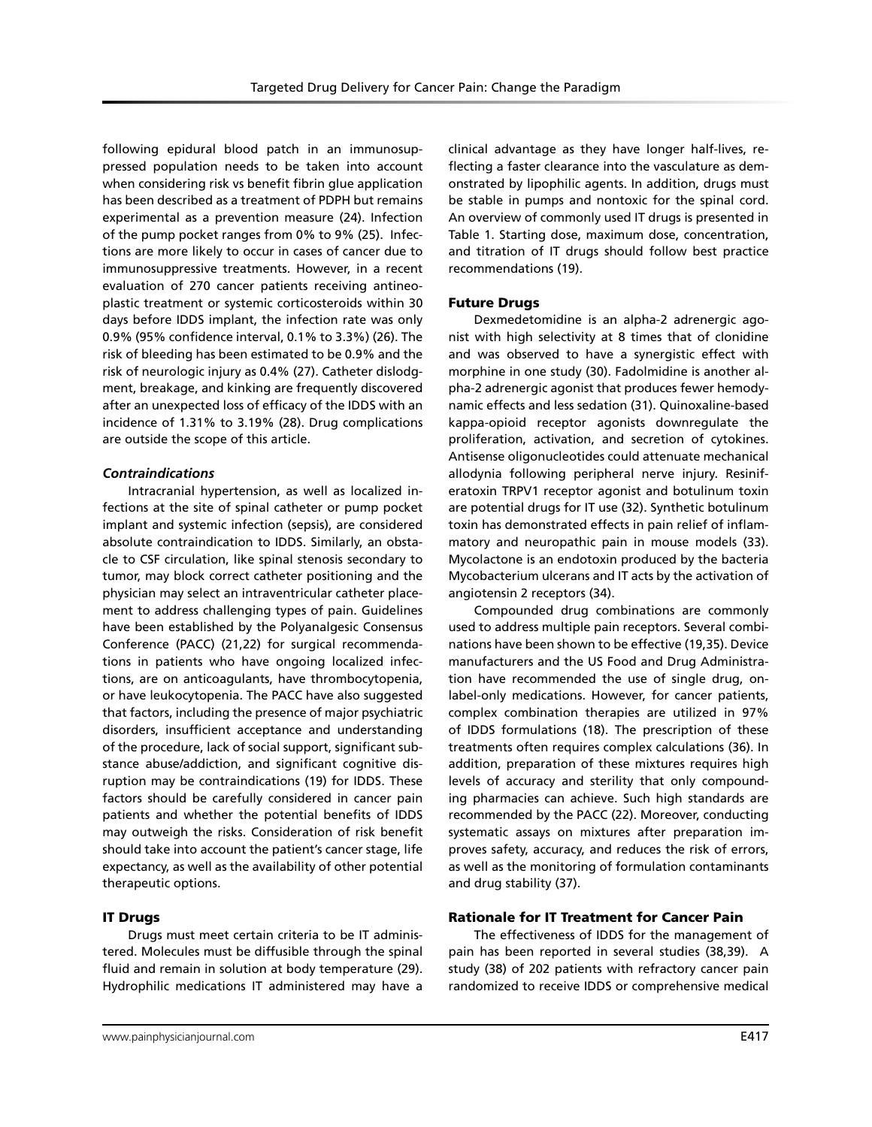following epidural blood patch in an immunosuppressed population needs to be taken into account when considering risk vs benefit fibrin glue application has been described as a treatment of PDPH but remains experimental as a prevention measure (24). Infection of the pump pocket ranges from 0% to 9% (25). Infections are more likely to occur in cases of cancer due to immunosuppressive treatments. However, in a recent evaluation of 270 cancer patients receiving antineoplastic treatment or systemic corticosteroids within 30 days before IDDS implant, the infection rate was only 0.9% (95% confidence interval, 0.1% to 3.3%) (26). The risk of bleeding has been estimated to be 0.9% and the risk of neurologic injury as 0.4% (27). Catheter dislodgment, breakage, and kinking are frequently discovered after an unexpected loss of efficacy of the IDDS with an incidence of 1.31% to 3.19% (28). Drug complications are outside the scope of this article.

### *Contraindications*

Intracranial hypertension, as well as localized infections at the site of spinal catheter or pump pocket implant and systemic infection (sepsis), are considered absolute contraindication to IDDS. Similarly, an obstacle to CSF circulation, like spinal stenosis secondary to tumor, may block correct catheter positioning and the physician may select an intraventricular catheter placement to address challenging types of pain. Guidelines have been established by the Polyanalgesic Consensus Conference (PACC) (21,22) for surgical recommendations in patients who have ongoing localized infections, are on anticoagulants, have thrombocytopenia, or have leukocytopenia. The PACC have also suggested that factors, including the presence of major psychiatric disorders, insufficient acceptance and understanding of the procedure, lack of social support, significant substance abuse/addiction, and significant cognitive disruption may be contraindications (19) for IDDS. These factors should be carefully considered in cancer pain patients and whether the potential benefits of IDDS may outweigh the risks. Consideration of risk benefit should take into account the patient's cancer stage, life expectancy, as well as the availability of other potential therapeutic options.

### IT Drugs

Drugs must meet certain criteria to be IT administered. Molecules must be diffusible through the spinal fluid and remain in solution at body temperature (29). Hydrophilic medications IT administered may have a

clinical advantage as they have longer half-lives, reflecting a faster clearance into the vasculature as demonstrated by lipophilic agents. In addition, drugs must be stable in pumps and nontoxic for the spinal cord. An overview of commonly used IT drugs is presented in Table 1. Starting dose, maximum dose, concentration, and titration of IT drugs should follow best practice recommendations (19).

### Future Drugs

Dexmedetomidine is an alpha-2 adrenergic agonist with high selectivity at 8 times that of clonidine and was observed to have a synergistic effect with morphine in one study (30). Fadolmidine is another alpha-2 adrenergic agonist that produces fewer hemodynamic effects and less sedation (31). Quinoxaline-based kappa-opioid receptor agonists downregulate the proliferation, activation, and secretion of cytokines. Antisense oligonucleotides could attenuate mechanical allodynia following peripheral nerve injury. Resiniferatoxin TRPV1 receptor agonist and botulinum toxin are potential drugs for IT use (32). Synthetic botulinum toxin has demonstrated effects in pain relief of inflammatory and neuropathic pain in mouse models (33). Mycolactone is an endotoxin produced by the bacteria Mycobacterium ulcerans and IT acts by the activation of angiotensin 2 receptors (34).

Compounded drug combinations are commonly used to address multiple pain receptors. Several combinations have been shown to be effective (19,35). Device manufacturers and the US Food and Drug Administration have recommended the use of single drug, onlabel-only medications. However, for cancer patients, complex combination therapies are utilized in 97% of IDDS formulations (18). The prescription of these treatments often requires complex calculations (36). In addition, preparation of these mixtures requires high levels of accuracy and sterility that only compounding pharmacies can achieve. Such high standards are recommended by the PACC (22). Moreover, conducting systematic assays on mixtures after preparation improves safety, accuracy, and reduces the risk of errors, as well as the monitoring of formulation contaminants and drug stability (37).

#### Rationale for IT Treatment for Cancer Pain

The effectiveness of IDDS for the management of pain has been reported in several studies (38,39). A study (38) of 202 patients with refractory cancer pain randomized to receive IDDS or comprehensive medical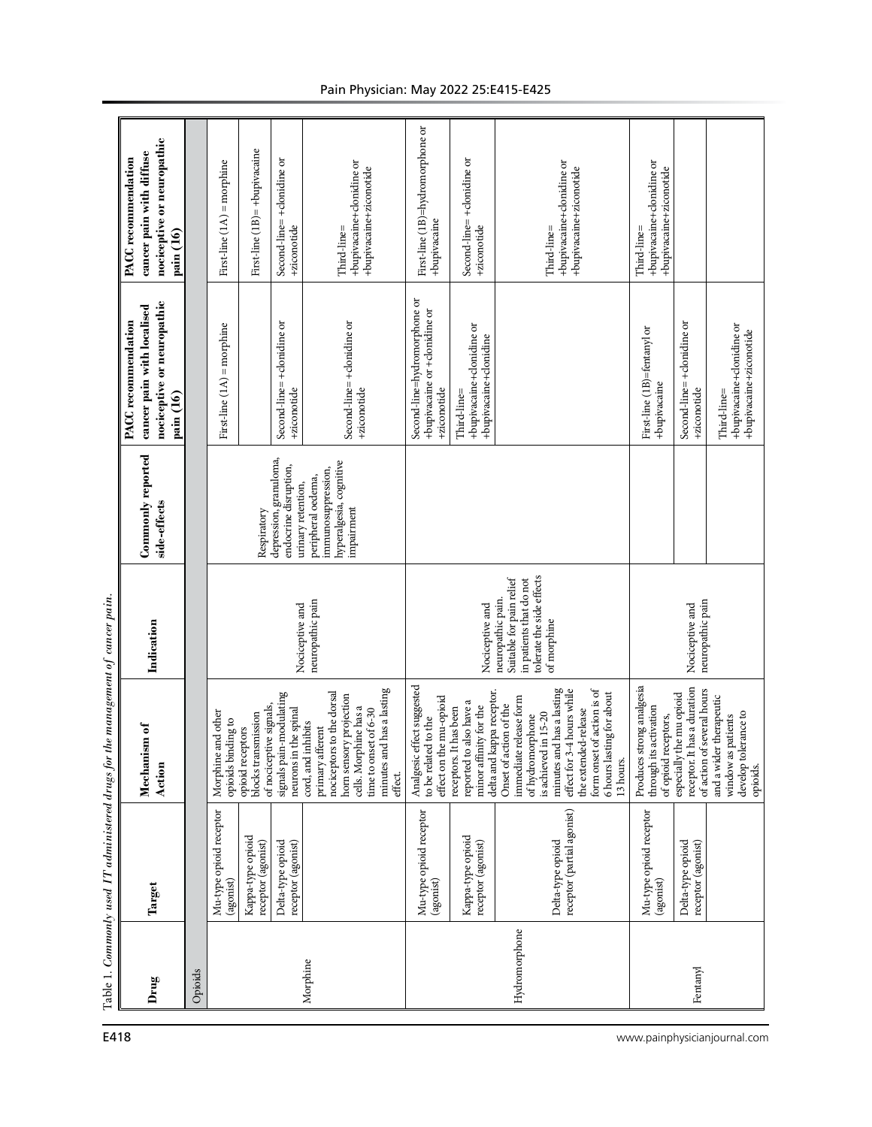|                                                  | nociceptive or neuropathic<br>cancer pain with diffuse<br>PACC recommendation<br>pain (16)   |                                                                                                                            | First-line $(1A)$ = morphine                | First-line (1B)= +bupivacaine                                      | Second-line=+donidine or<br>+ziconotide                               | +bupivacaine+clonidine or<br>+bupivacaine+ziconotide<br>Third-line=                                                                                                                      | First-line (1B)=hydromorphone or<br>+bupivacaine                              | Second-line=+donidine or<br>+ziconotide                                                                  | +bupivacaine+clonidine or<br>+bupivacaine+ziconotide<br>Third-line=                                                                                                                                                                                     | +bupivacaine+clonidine or<br>+bupivacaine+ziconotide<br>Third-line=                                                                                                                                                                              |                                          |                                                                     |
|--------------------------------------------------|----------------------------------------------------------------------------------------------|----------------------------------------------------------------------------------------------------------------------------|---------------------------------------------|--------------------------------------------------------------------|-----------------------------------------------------------------------|------------------------------------------------------------------------------------------------------------------------------------------------------------------------------------------|-------------------------------------------------------------------------------|----------------------------------------------------------------------------------------------------------|---------------------------------------------------------------------------------------------------------------------------------------------------------------------------------------------------------------------------------------------------------|--------------------------------------------------------------------------------------------------------------------------------------------------------------------------------------------------------------------------------------------------|------------------------------------------|---------------------------------------------------------------------|
|                                                  | nociceptive or neuropathic<br>cancer pain with localised<br>PACC recommendation<br>pain (16) |                                                                                                                            | First-line $(1A)$ = morphine                |                                                                    | Second-line= +clonidine or<br>+ziconotide                             | Second-line= +donidine or<br>+ziconotide                                                                                                                                                 | Second-line=hydromorphone or<br>+bupivacaine or +clonidine or<br>+ziconotide  | +bupivacaine+clonidine or<br>+bupivacaine+clonidine<br>Third-line=                                       |                                                                                                                                                                                                                                                         | First-line (1B)=fentanyl or<br>+bupivacaine                                                                                                                                                                                                      | Second-line= +donidine or<br>+ziconotide | +bupivacaine+clonidine or<br>+bupivacaine+ziconotide<br>Third-line= |
|                                                  | Commonly reported<br>side-effects                                                            |                                                                                                                            |                                             | Respiratory                                                        | depression, granuloma,<br>endocrine disruption,<br>urinary retention, | hyperalgesia, cognitive<br>immunosuppression,<br>peripheral oedema,<br>impairment                                                                                                        |                                                                               |                                                                                                          |                                                                                                                                                                                                                                                         |                                                                                                                                                                                                                                                  |                                          |                                                                     |
| the management of cancer pain.                   | Indication                                                                                   |                                                                                                                            |                                             |                                                                    | Nociceptive and                                                       | neuropathic pain                                                                                                                                                                         |                                                                               | Nociceptive and                                                                                          | tolerate the side effects<br>Suitable for pain relief<br>in patients that do not<br>neuropathic pain.<br>of morphine                                                                                                                                    | neuropathic pain<br>Nociceptive and                                                                                                                                                                                                              |                                          |                                                                     |
|                                                  | Mechanism of<br>Action                                                                       |                                                                                                                            | and other<br>opioids binding to<br>Morphine | of nociceptive signals,<br>blocks transmission<br>opioid receptors | signals pain-modulating<br>neurons in the spinal                      | minutes and has a lasting<br>nociceptors to the dorsal<br>horn sensory projection<br>cells. Morphine has a<br>time to onset of 6-30<br>cord, and inhibits<br>primary afferent<br>effect. | Analgesic effect suggested<br>to be related to the<br>effect on the mu-opioid | delta and kappa receptor.<br>reported to also have a<br>receptors. It has been<br>minor affinity for the | form onset of action is of<br>minutes and has a lasting<br>effect for 3-4 hours while<br>6 hours lasting for about<br>immediate release form<br>Onset of action of the<br>the extended-release<br>is achieved in 15-20<br>of hydromorphone<br>13 hours. | strong analgesia<br>receptor. It has a duration<br>of action of several hours<br>especially the mu opioid<br>and a wider therapeutic<br>through its activation<br>develop tolerance to<br>window as patients<br>of opioid receptors,<br>Produces |                                          | opioids.                                                            |
| Table 1. Commonly used IT administered drugs for | Target                                                                                       | Mu-type opioid receptor<br>Kappa-type opioid<br>Delta-type opioid<br>receptor (agonist)<br>receptor (agonist)<br>(agonist) |                                             |                                                                    |                                                                       |                                                                                                                                                                                          | Mu-type opioid receptor<br>(agonist)                                          | Kappa-type opioid<br>receptor (agonist)                                                                  | receptor (partial agonist)<br>Delta-type opioid                                                                                                                                                                                                         | Mu-type opioid receptor<br>(agonist)                                                                                                                                                                                                             | Delta-type opioid<br>receptor (agonist)  |                                                                     |
|                                                  | Drug                                                                                         | Opioids                                                                                                                    |                                             |                                                                    |                                                                       | Morphine                                                                                                                                                                                 |                                                                               |                                                                                                          | Hydromorphone                                                                                                                                                                                                                                           | Fentanyl                                                                                                                                                                                                                                         |                                          |                                                                     |

# Pain Physician: May 2022 25:E415-E425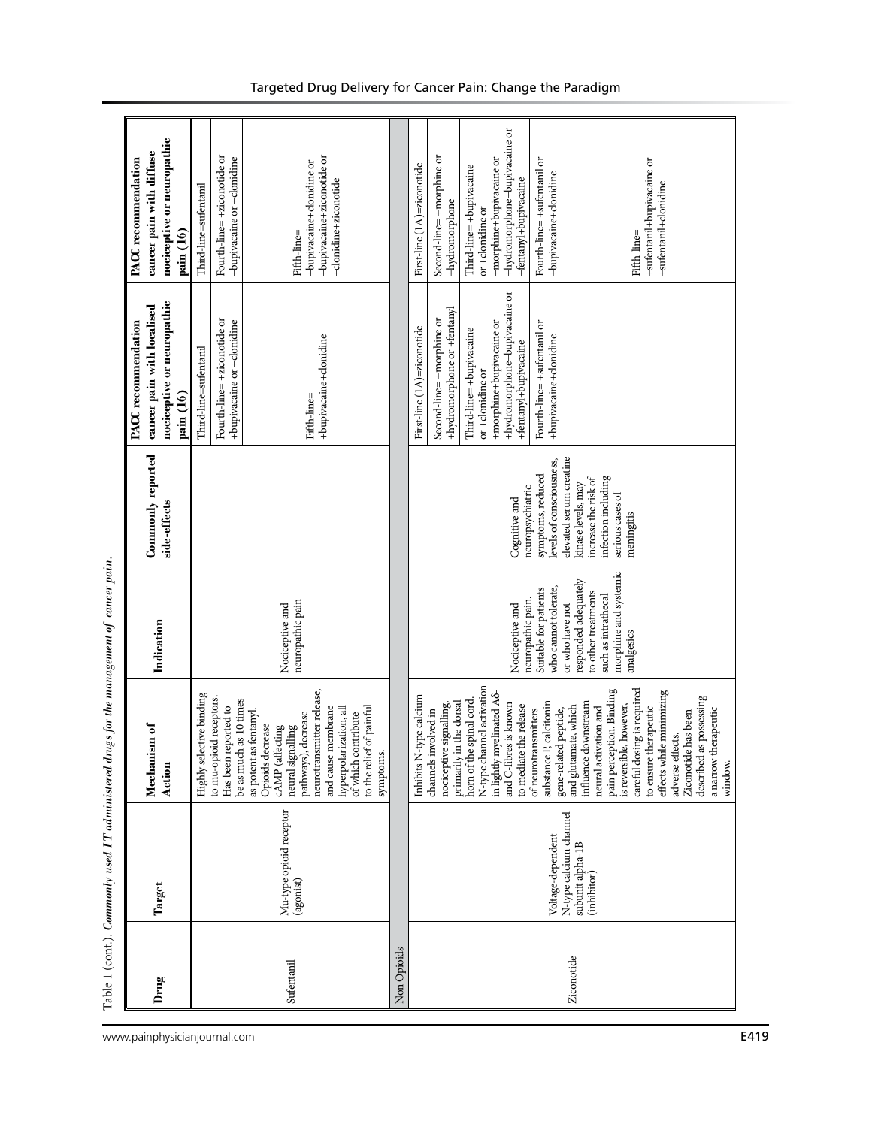|             |                                                                                | ی <i>ان</i>                                                                                                                                                                                                                                                                                                                                                                                                                                                                                                                                                                                                                         | 7<br>$\sum_{i=1}^{n}$                                                                                                                                                                                                 |                                                                                                                                                                                                                      |                                                                                                                                                                                                                                                                                     |                                                                                                                                                                                                                                                                                                                                              |
|-------------|--------------------------------------------------------------------------------|-------------------------------------------------------------------------------------------------------------------------------------------------------------------------------------------------------------------------------------------------------------------------------------------------------------------------------------------------------------------------------------------------------------------------------------------------------------------------------------------------------------------------------------------------------------------------------------------------------------------------------------|-----------------------------------------------------------------------------------------------------------------------------------------------------------------------------------------------------------------------|----------------------------------------------------------------------------------------------------------------------------------------------------------------------------------------------------------------------|-------------------------------------------------------------------------------------------------------------------------------------------------------------------------------------------------------------------------------------------------------------------------------------|----------------------------------------------------------------------------------------------------------------------------------------------------------------------------------------------------------------------------------------------------------------------------------------------------------------------------------------------|
| Drug        | Target                                                                         | Mechanism of<br>Action                                                                                                                                                                                                                                                                                                                                                                                                                                                                                                                                                                                                              | Indication                                                                                                                                                                                                            | Commonly reported<br>side-effects                                                                                                                                                                                    | nociceptive or neuropathic<br>cancer pain with localised<br>PACC recommendation<br>pain (16)                                                                                                                                                                                        | nociceptive or neuropathic<br>cancer pain with diffuse<br><b>PACC</b> recommendation<br>pain (16)                                                                                                                                                                                                                                            |
| Sufentanil  | Mu-type opioid receptor<br>(agonist)                                           | neurotransmitter release,<br>Highly selective binding<br>to mu-opioid receptors.<br>as 10 times<br>Has been reported to<br>to the relief of painful<br>and cause membrane<br>hyperpolarization, all<br>as potent as fentanyl.<br>of which contribute<br>pathways), decrease<br>Opioids decrease<br>cÁMP (affecting<br>neural signalling<br>be as much<br>symptoms.                                                                                                                                                                                                                                                                  | neuropathic pain<br>Nociceptive and                                                                                                                                                                                   |                                                                                                                                                                                                                      | Fourth-line= +ziconotide or<br>+bupivacaine or +clonidine<br>+bupivacaine+clonidine<br>Third-line=sufentanil<br>Fifth-line=                                                                                                                                                         | +bupivacaine+ziconotide or<br>Fourth-line= +ziconotide or<br>+bupivacaine or +clonidine<br>+bupivacaine+donidine or<br>+donidine+ziconotide<br>Third-line=sufentanil<br>Fifth-line=                                                                                                                                                          |
| Non Opioids |                                                                                |                                                                                                                                                                                                                                                                                                                                                                                                                                                                                                                                                                                                                                     |                                                                                                                                                                                                                       |                                                                                                                                                                                                                      |                                                                                                                                                                                                                                                                                     |                                                                                                                                                                                                                                                                                                                                              |
| Ziconotide  | N-type calcium channel<br>Voltage-dependent<br>subunit alpha-1B<br>(inhibitor) | N-type channel activation<br>careful dosing is required<br>pain perception. Binding<br>effects while minimizing<br>in lightly myelinated A <sub>0</sub> -<br>type calcium<br>described as possessing<br>horn of the spinal cord.<br>influence downstream<br>primarily in the dorsal<br>and C-fibres is known<br>substance P, calcitonin<br>is reversible, however,<br>nociceptive signalling,<br>to mediate the release<br>to ensure therapeutic<br>and glutamate, which<br>neural activation and<br>of neurotransmitters<br>gene-related peptide,<br>channels involved in<br>Ziconotide has been<br>adverse effects.<br>Inhibits N | morphine and systemic<br>responded adequately<br>who cannot tolerate,<br>Suitable for patients<br>to other treatments<br>such as intrathecal<br>neuropathic pain.<br>or who have not<br>Nociceptive and<br>analgesics | elevated serum creatine<br>levels of consciousness,<br>symptoms, reduced<br>infection including<br>increase the risk of<br>kinase levels, may<br>neuropsychiatric<br>serious cases of<br>Cognitive and<br>meningitis | +hydromorphone+bupivacaine or<br>+hydromorphone or +fentanyl<br>Second-line= +morphine or<br>+morphine+bupivacaine or<br>Fourth-line= +sufentanil or<br>First-line (1A)=ziconotide<br>Third-line=+bupivacaine<br>+bupivacaine+clonidine<br>+fentanyl+bupivacaine<br>or +donidine or | +hydromorphone+bupivacaine or<br>Second-line= +morphine or<br>+sufentanil+bupivacaine or<br>+morphine+bupivacaine or<br>Fourth-line= +sufentanil or<br>First-line (1A)=ziconotide<br>Third-line=+bupivacaine<br>+bupivacaine+clonidine<br>+fentanyl+bupivacaine<br>+sufentanil+clonidine<br>+hydromorphone<br>or +donidine or<br>Fifth-line= |
|             |                                                                                | a narrow therapeutic<br>window.                                                                                                                                                                                                                                                                                                                                                                                                                                                                                                                                                                                                     |                                                                                                                                                                                                                       |                                                                                                                                                                                                                      |                                                                                                                                                                                                                                                                                     |                                                                                                                                                                                                                                                                                                                                              |

www.painphysicianjournal.com **E419**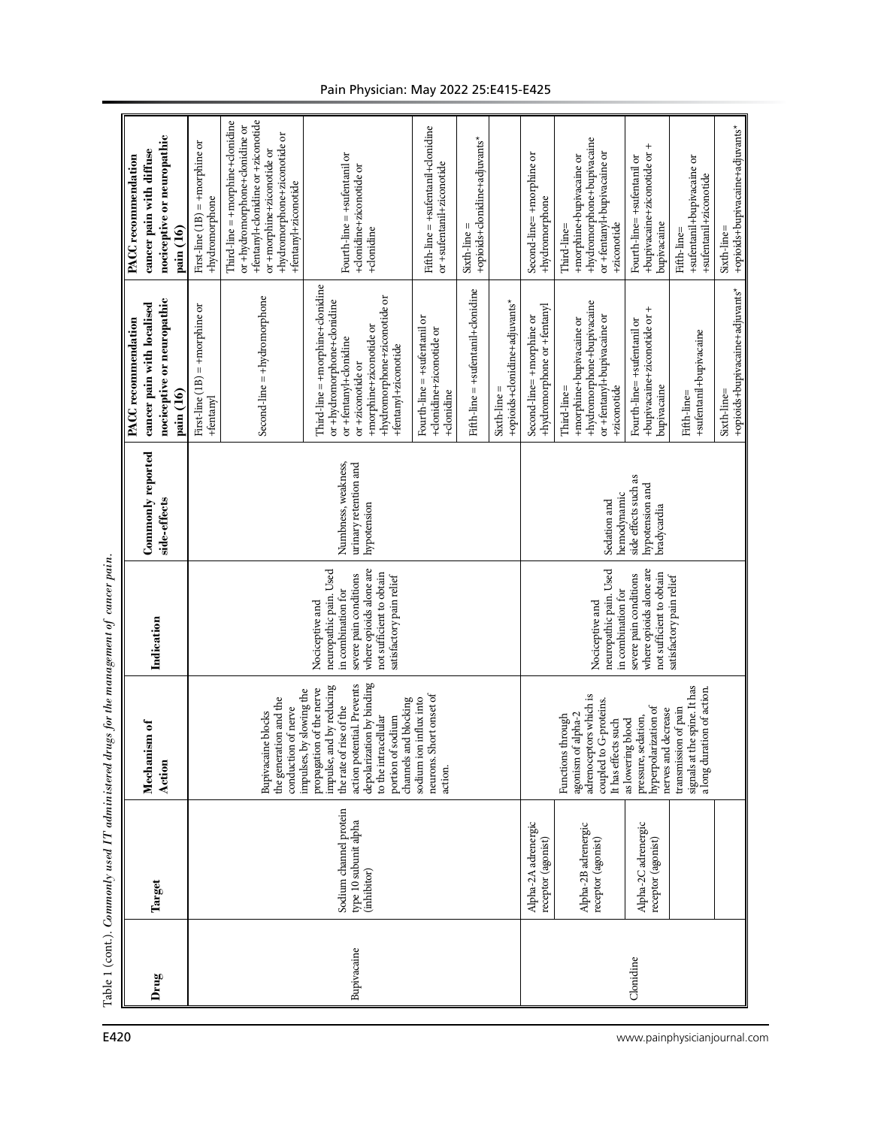|                                                                                                     |                                                                                                                                                                                                                                                                                                                                                                                            |                                                                                                                                                                                                     |                                                                                                                                                                                                   |                                                                      |                                               |                                               |                                                                                                                                                                              |                                                                                                                     | $^{+}$                                                                                  |                                                                                    |                                                |  |  |
|-----------------------------------------------------------------------------------------------------|--------------------------------------------------------------------------------------------------------------------------------------------------------------------------------------------------------------------------------------------------------------------------------------------------------------------------------------------------------------------------------------------|-----------------------------------------------------------------------------------------------------------------------------------------------------------------------------------------------------|---------------------------------------------------------------------------------------------------------------------------------------------------------------------------------------------------|----------------------------------------------------------------------|-----------------------------------------------|-----------------------------------------------|------------------------------------------------------------------------------------------------------------------------------------------------------------------------------|---------------------------------------------------------------------------------------------------------------------|-----------------------------------------------------------------------------------------|------------------------------------------------------------------------------------|------------------------------------------------|--|--|
| nociceptive or neuropathic<br>cancer pain with diffuse<br><b>PACC</b> recommendation<br>pain (16)   | First-line (1B) = +morphine or<br>+hydromorphone                                                                                                                                                                                                                                                                                                                                           | +fentanyl+clonidine or +ziconotide<br>$Third-line = +morphism + {donidine}$<br>or +hydromorphone+clonidine or<br>+hydromorphone+ziconotide or<br>or +morphine+ziconotide or<br>+fentanyl+ziconotide | Fourth-line = +sufentanil or<br>+clonidine+ziconotide or<br>+clonidine                                                                                                                            | Fifth-line = +sufentanil+clonidine<br>or +sufentanil+ziconotide      | +opioids+clonidine+adjuvants*<br>Sixth-line = |                                               | Second-line= +morphine or<br>+hydromorphone                                                                                                                                  | +hydromorphone+bupivacaine<br>or +fentanyl+bupivacaine or<br>+morphine+bupivacaine or<br>+ziconotide<br>Third-line= | +bupivacaine+ziconotide or<br>Fourth-line=+sufentanil or<br>bupivacaine                 | +sufentanil+bupivacaine or<br>+sufentanil+ziconotide<br>Fifth-line=                | +opioids+bupivacaine+adjuvants*<br>Sixth-line= |  |  |
| nociceptive or neuropathic<br>cancer pain with localised<br><b>PACC</b> recommendation<br>pain (16) | First-line $(1B)$ = +morphine or<br>+fentanyl                                                                                                                                                                                                                                                                                                                                              | $Second-line = +hydromorphone$                                                                                                                                                                      | Third-line = +morphine+clonidine<br>+hydromorphone+ziconotide or<br>or +hydromorphone+clonidine<br>+morphine+ziconotide or<br>or +fentanyl+clonidine<br>+fentanyl+ziconotide<br>or +ziconotide or | Fourth-line = +sufentanil or<br>+donidine+ziconotide or<br>+donidine | Fifth-line = +sufentanil+donidine             | +opioids+clonidine+adjuvants*<br>Sixth-line = | +hydromorphone or +fentanyl<br>Second-line= +morphine or                                                                                                                     | +hydromorphone+bupivacaine<br>or +fentanyl+bupivacaine or<br>+morphine+bupivacaine or<br>+ziconotide<br>Third-line= | +bupivacaine+ziconotide or +<br>Fourth-line=+sufentanil or<br>bupivacaine               | +sufentanil+bupivacaine<br>Fifth-line=                                             | +opioids+bupivacaine+adjuvants*<br>Sixth-line= |  |  |
| Commonly reported<br>side-effects                                                                   | urinary retention and<br>Numbness, weakness,<br>hypotension                                                                                                                                                                                                                                                                                                                                |                                                                                                                                                                                                     |                                                                                                                                                                                                   |                                                                      |                                               |                                               |                                                                                                                                                                              | side effects such as<br>hypotension and<br>hemodynamic<br>Sedation and<br>bradycardia                               |                                                                                         |                                                                                    |                                                |  |  |
| Indication                                                                                          | where opioids alone are<br>neuropathic pain. Used<br>not sufficient to obtain<br>severe pain conditions<br>satisfactory pain relief<br>in combination for<br>Nociceptive and                                                                                                                                                                                                               |                                                                                                                                                                                                     |                                                                                                                                                                                                   |                                                                      |                                               |                                               | where opioids alone are<br>neuropathic pain. Used<br>not sufficient to obtain<br>severe pain conditions<br>satisfactory pain relief<br>in combination for<br>Nociceptive and |                                                                                                                     |                                                                                         |                                                                                    |                                                |  |  |
| ism of<br>Mechani<br>Action                                                                         | depolarization by binding<br>action potential. Prevents<br>impulse, and by reducing<br>propagation of the nerve<br>impulses, by slowing the<br>neurons. Short onset of<br>the generation and the<br>sodium ion influx into<br>channels and blocking<br>the rate of rise of the<br>conduction of nerve<br><b>Bupivacaine</b> blocks<br>to the intracellular<br>portion of sodium<br>action. |                                                                                                                                                                                                     |                                                                                                                                                                                                   |                                                                      |                                               |                                               |                                                                                                                                                                              | adrenoceptors which is<br>coupled to G-proteins.<br>agonism of alpha-2<br>Functions through<br>It has effects such  | hyperpolarization of<br>nerves and decrease<br>pressure, sedation,<br>as lowering blood | signals at the spine. It has<br>a long duration of action.<br>transmission of pain |                                                |  |  |
| Target                                                                                              | Sodium channel protein<br>type 10 subunit alpha<br>(inhibitor)                                                                                                                                                                                                                                                                                                                             |                                                                                                                                                                                                     |                                                                                                                                                                                                   |                                                                      |                                               |                                               |                                                                                                                                                                              | Alpha-2B adrenergic<br>receptor (agonist)                                                                           | Alpha-2C adrenergic<br>receptor (agonist)                                               |                                                                                    |                                                |  |  |
| Drug                                                                                                |                                                                                                                                                                                                                                                                                                                                                                                            |                                                                                                                                                                                                     | Bupivacaine                                                                                                                                                                                       |                                                                      |                                               |                                               | Clonidine                                                                                                                                                                    |                                                                                                                     |                                                                                         |                                                                                    |                                                |  |  |

# Pain Physician: May 2022 25:E415-E425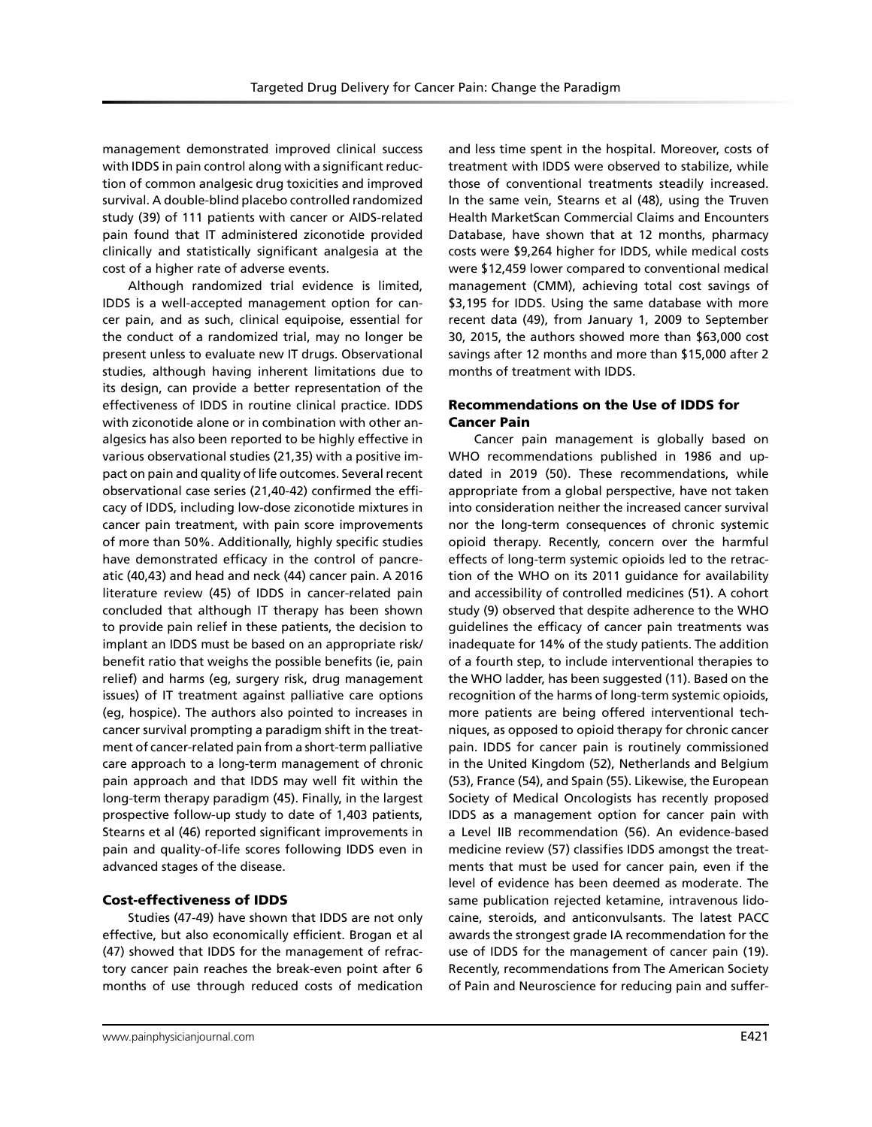management demonstrated improved clinical success with IDDS in pain control along with a significant reduction of common analgesic drug toxicities and improved survival. A double-blind placebo controlled randomized study (39) of 111 patients with cancer or AIDS-related pain found that IT administered ziconotide provided clinically and statistically significant analgesia at the cost of a higher rate of adverse events.

Although randomized trial evidence is limited, IDDS is a well-accepted management option for cancer pain, and as such, clinical equipoise, essential for the conduct of a randomized trial, may no longer be present unless to evaluate new IT drugs. Observational studies, although having inherent limitations due to its design, can provide a better representation of the effectiveness of IDDS in routine clinical practice. IDDS with ziconotide alone or in combination with other analgesics has also been reported to be highly effective in various observational studies (21,35) with a positive impact on pain and quality of life outcomes. Several recent observational case series (21,40-42) confirmed the efficacy of IDDS, including low-dose ziconotide mixtures in cancer pain treatment, with pain score improvements of more than 50%. Additionally, highly specific studies have demonstrated efficacy in the control of pancreatic (40,43) and head and neck (44) cancer pain. A 2016 literature review (45) of IDDS in cancer-related pain concluded that although IT therapy has been shown to provide pain relief in these patients, the decision to implant an IDDS must be based on an appropriate risk/ benefit ratio that weighs the possible benefits (ie, pain relief) and harms (eg, surgery risk, drug management issues) of IT treatment against palliative care options (eg, hospice). The authors also pointed to increases in cancer survival prompting a paradigm shift in the treatment of cancer-related pain from a short-term palliative care approach to a long-term management of chronic pain approach and that IDDS may well fit within the long-term therapy paradigm (45). Finally, in the largest prospective follow-up study to date of 1,403 patients, Stearns et al (46) reported significant improvements in pain and quality-of-life scores following IDDS even in advanced stages of the disease.

### Cost-effectiveness of IDDS

Studies (47-49) have shown that IDDS are not only effective, but also economically efficient. Brogan et al (47) showed that IDDS for the management of refractory cancer pain reaches the break-even point after 6 months of use through reduced costs of medication

and less time spent in the hospital. Moreover, costs of treatment with IDDS were observed to stabilize, while those of conventional treatments steadily increased. In the same vein, Stearns et al (48), using the Truven Health MarketScan Commercial Claims and Encounters Database, have shown that at 12 months, pharmacy costs were \$9,264 higher for IDDS, while medical costs were \$12,459 lower compared to conventional medical management (CMM), achieving total cost savings of \$3,195 for IDDS. Using the same database with more recent data (49), from January 1, 2009 to September 30, 2015, the authors showed more than \$63,000 cost savings after 12 months and more than \$15,000 after 2 months of treatment with IDDS.

### Recommendations on the Use of IDDS for Cancer Pain

Cancer pain management is globally based on WHO recommendations published in 1986 and updated in 2019 (50). These recommendations, while appropriate from a global perspective, have not taken into consideration neither the increased cancer survival nor the long-term consequences of chronic systemic opioid therapy. Recently, concern over the harmful effects of long-term systemic opioids led to the retraction of the WHO on its 2011 guidance for availability and accessibility of controlled medicines (51). A cohort study (9) observed that despite adherence to the WHO guidelines the efficacy of cancer pain treatments was inadequate for 14% of the study patients. The addition of a fourth step, to include interventional therapies to the WHO ladder, has been suggested (11). Based on the recognition of the harms of long-term systemic opioids, more patients are being offered interventional techniques, as opposed to opioid therapy for chronic cancer pain. IDDS for cancer pain is routinely commissioned in the United Kingdom (52), Netherlands and Belgium (53), France (54), and Spain (55). Likewise, the European Society of Medical Oncologists has recently proposed IDDS as a management option for cancer pain with a Level IIB recommendation (56). An evidence-based medicine review (57) classifies IDDS amongst the treatments that must be used for cancer pain, even if the level of evidence has been deemed as moderate. The same publication rejected ketamine, intravenous lidocaine, steroids, and anticonvulsants. The latest PACC awards the strongest grade IA recommendation for the use of IDDS for the management of cancer pain (19). Recently, recommendations from The American Society of Pain and Neuroscience for reducing pain and suffer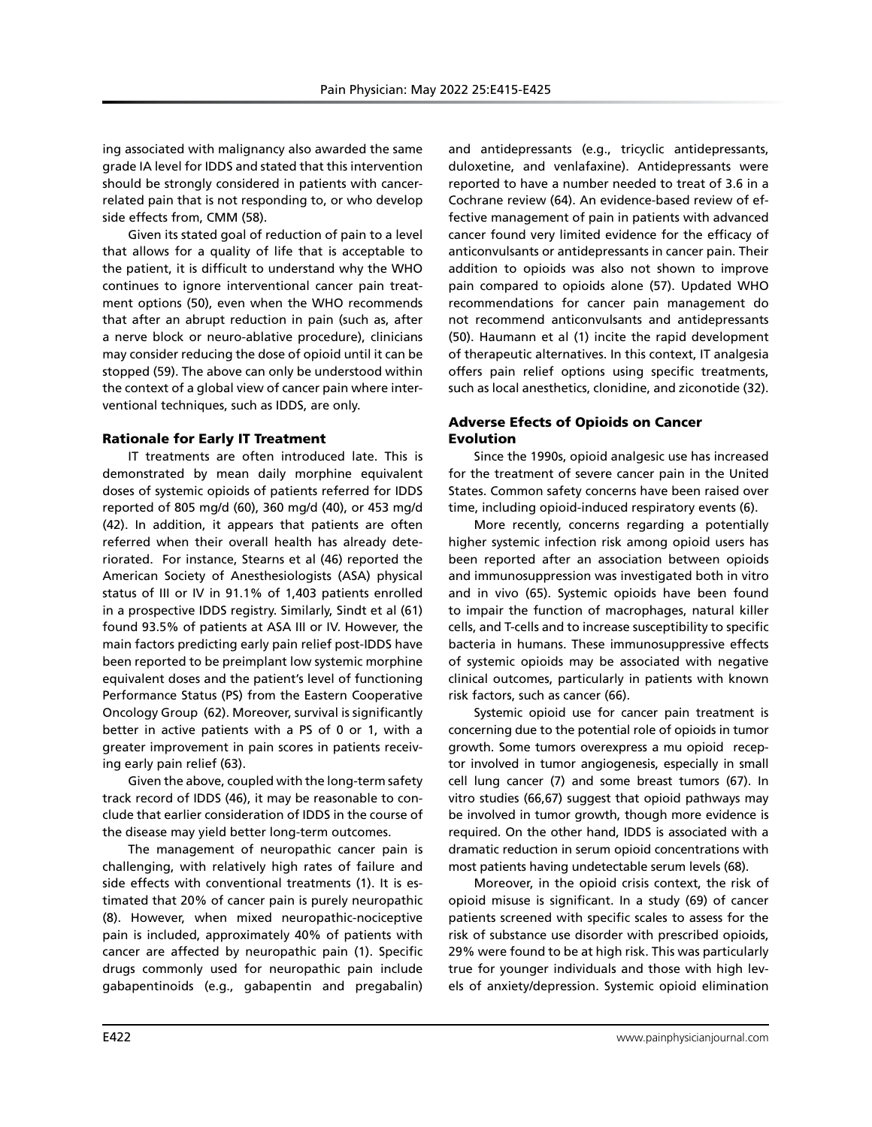ing associated with malignancy also awarded the same grade IA level for IDDS and stated that this intervention should be strongly considered in patients with cancerrelated pain that is not responding to, or who develop side effects from, CMM (58).

Given its stated goal of reduction of pain to a level that allows for a quality of life that is acceptable to the patient, it is difficult to understand why the WHO continues to ignore interventional cancer pain treatment options (50), even when the WHO recommends that after an abrupt reduction in pain (such as, after a nerve block or neuro-ablative procedure), clinicians may consider reducing the dose of opioid until it can be stopped (59). The above can only be understood within the context of a global view of cancer pain where interventional techniques, such as IDDS, are only.

### Rationale for Early IT Treatment

IT treatments are often introduced late. This is demonstrated by mean daily morphine equivalent doses of systemic opioids of patients referred for IDDS reported of 805 mg/d (60), 360 mg/d (40), or 453 mg/d (42). In addition, it appears that patients are often referred when their overall health has already deteriorated. For instance, Stearns et al (46) reported the American Society of Anesthesiologists (ASA) physical status of III or IV in 91.1% of 1,403 patients enrolled in a prospective IDDS registry. Similarly, Sindt et al (61) found 93.5% of patients at ASA III or IV. However, the main factors predicting early pain relief post-IDDS have been reported to be preimplant low systemic morphine equivalent doses and the patient's level of functioning Performance Status (PS) from the Eastern Cooperative Oncology Group (62). Moreover, survival is significantly better in active patients with a PS of 0 or 1, with a greater improvement in pain scores in patients receiving early pain relief (63).

Given the above, coupled with the long-term safety track record of IDDS (46), it may be reasonable to conclude that earlier consideration of IDDS in the course of the disease may yield better long-term outcomes.

The management of neuropathic cancer pain is challenging, with relatively high rates of failure and side effects with conventional treatments (1). It is estimated that 20% of cancer pain is purely neuropathic (8). However, when mixed neuropathic-nociceptive pain is included, approximately 40% of patients with cancer are affected by neuropathic pain (1). Specific drugs commonly used for neuropathic pain include gabapentinoids (e.g., gabapentin and pregabalin)

and antidepressants (e.g., tricyclic antidepressants, duloxetine, and venlafaxine). Antidepressants were reported to have a number needed to treat of 3.6 in a Cochrane review (64). An evidence-based review of effective management of pain in patients with advanced cancer found very limited evidence for the efficacy of anticonvulsants or antidepressants in cancer pain. Their addition to opioids was also not shown to improve pain compared to opioids alone (57). Updated WHO recommendations for cancer pain management do not recommend anticonvulsants and antidepressants (50). Haumann et al (1) incite the rapid development of therapeutic alternatives. In this context, IT analgesia offers pain relief options using specific treatments, such as local anesthetics, clonidine, and ziconotide (32).

# Adverse Efects of Opioids on Cancer Evolution

Since the 1990s, opioid analgesic use has increased for the treatment of severe cancer pain in the United States. Common safety concerns have been raised over time, including opioid-induced respiratory events (6).

More recently, concerns regarding a potentially higher systemic infection risk among opioid users has been reported after an association between opioids and immunosuppression was investigated both in vitro and in vivo (65). Systemic opioids have been found to impair the function of macrophages, natural killer cells, and T-cells and to increase susceptibility to specific bacteria in humans. These immunosuppressive effects of systemic opioids may be associated with negative clinical outcomes, particularly in patients with known risk factors, such as cancer (66).

Systemic opioid use for cancer pain treatment is concerning due to the potential role of opioids in tumor growth. Some tumors overexpress a mu opioid receptor involved in tumor angiogenesis, especially in small cell lung cancer (7) and some breast tumors (67). In vitro studies (66,67) suggest that opioid pathways may be involved in tumor growth, though more evidence is required. On the other hand, IDDS is associated with a dramatic reduction in serum opioid concentrations with most patients having undetectable serum levels (68).

Moreover, in the opioid crisis context, the risk of opioid misuse is significant. In a study (69) of cancer patients screened with specific scales to assess for the risk of substance use disorder with prescribed opioids, 29% were found to be at high risk. This was particularly true for younger individuals and those with high levels of anxiety/depression. Systemic opioid elimination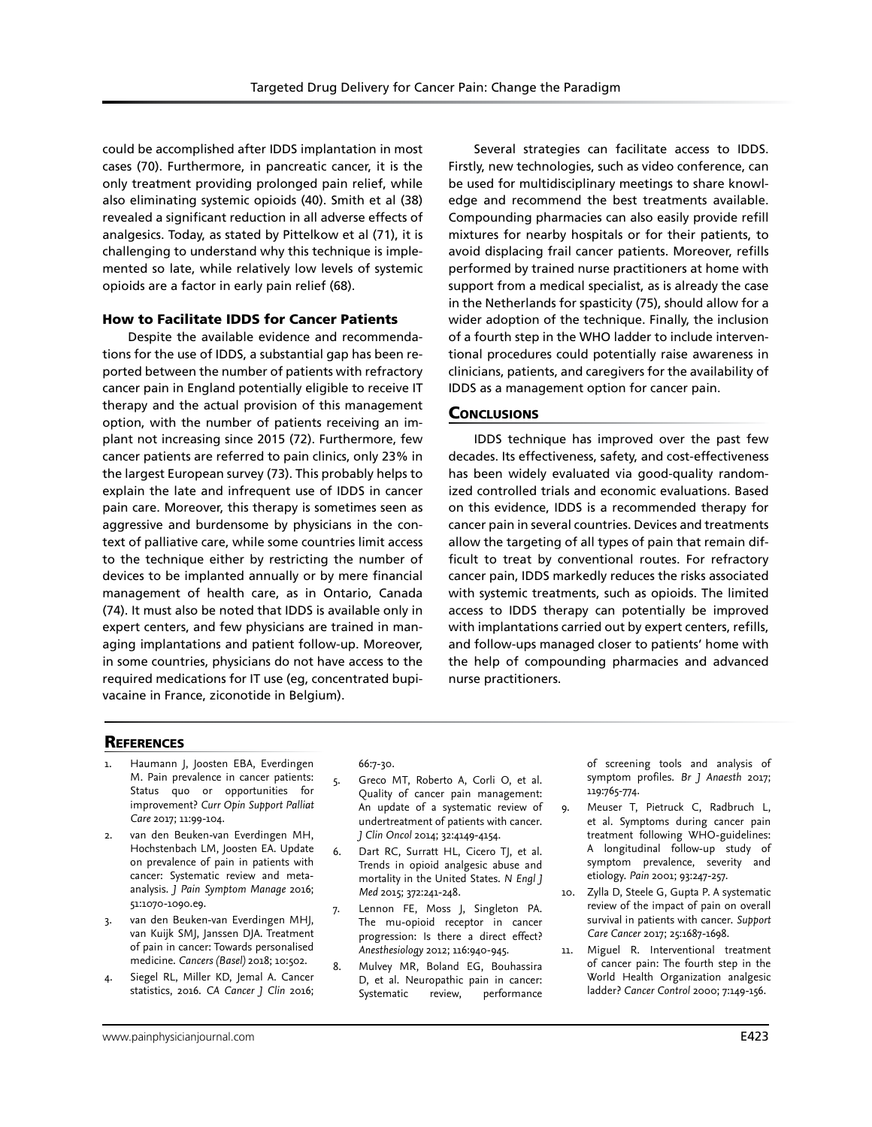could be accomplished after IDDS implantation in most cases (70). Furthermore, in pancreatic cancer, it is the only treatment providing prolonged pain relief, while also eliminating systemic opioids (40). Smith et al (38) revealed a significant reduction in all adverse effects of analgesics. Today, as stated by Pittelkow et al (71), it is challenging to understand why this technique is implemented so late, while relatively low levels of systemic opioids are a factor in early pain relief (68).

### How to Facilitate IDDS for Cancer Patients

Despite the available evidence and recommendations for the use of IDDS, a substantial gap has been reported between the number of patients with refractory cancer pain in England potentially eligible to receive IT therapy and the actual provision of this management option, with the number of patients receiving an implant not increasing since 2015 (72). Furthermore, few cancer patients are referred to pain clinics, only 23% in the largest European survey (73). This probably helps to explain the late and infrequent use of IDDS in cancer pain care. Moreover, this therapy is sometimes seen as aggressive and burdensome by physicians in the context of palliative care, while some countries limit access to the technique either by restricting the number of devices to be implanted annually or by mere financial management of health care, as in Ontario, Canada (74). It must also be noted that IDDS is available only in expert centers, and few physicians are trained in managing implantations and patient follow-up. Moreover, in some countries, physicians do not have access to the required medications for IT use (eg, concentrated bupivacaine in France, ziconotide in Belgium).

Several strategies can facilitate access to IDDS. Firstly, new technologies, such as video conference, can be used for multidisciplinary meetings to share knowledge and recommend the best treatments available. Compounding pharmacies can also easily provide refill mixtures for nearby hospitals or for their patients, to avoid displacing frail cancer patients. Moreover, refills performed by trained nurse practitioners at home with support from a medical specialist, as is already the case in the Netherlands for spasticity (75), should allow for a wider adoption of the technique. Finally, the inclusion of a fourth step in the WHO ladder to include interventional procedures could potentially raise awareness in clinicians, patients, and caregivers for the availability of IDDS as a management option for cancer pain.

### **CONCLUSIONS**

IDDS technique has improved over the past few decades. Its effectiveness, safety, and cost-effectiveness has been widely evaluated via good-quality randomized controlled trials and economic evaluations. Based on this evidence, IDDS is a recommended therapy for cancer pain in several countries. Devices and treatments allow the targeting of all types of pain that remain difficult to treat by conventional routes. For refractory cancer pain, IDDS markedly reduces the risks associated with systemic treatments, such as opioids. The limited access to IDDS therapy can potentially be improved with implantations carried out by expert centers, refills, and follow-ups managed closer to patients' home with the help of compounding pharmacies and advanced nurse practitioners.

### **REFERENCES**

- Haumann J, Joosten EBA, Everdingen M. Pain prevalence in cancer patients: Status quo or opportunities for improvement? *Curr Opin Support Palliat Care* 2017; 11:99-104.
- 2. van den Beuken-van Everdingen MH, Hochstenbach LM, Joosten EA. Update on prevalence of pain in patients with cancer: Systematic review and metaanalysis. *J Pain Symptom Manage* 2016; 51:1070-1090.e9.
- 3. van den Beuken-van Everdingen MHJ, van Kuijk SMJ, Janssen DJA. Treatment of pain in cancer: Towards personalised medicine. *Cancers (Basel)* 2018; 10:502.
- 4. Siegel RL, Miller KD, Jemal A. Cancer statistics, 2016. *CA Cancer J Clin* 2016;

66:7-30.

- 5. Greco MT, Roberto A, Corli O, et al. Quality of cancer pain management: An update of a systematic review of undertreatment of patients with cancer. *J Clin Oncol* 2014; 32:4149-4154.
- 6. Dart RC, Surratt HL, Cicero TJ, et al. Trends in opioid analgesic abuse and mortality in the United States. *N Engl J Med* 2015; 372:241-248.
- 7. Lennon FE, Moss J, Singleton PA. The mu-opioid receptor in cancer progression: Is there a direct effect? *Anesthesiology* 2012; 116:940-945.
- 8. Mulvey MR, Boland EG, Bouhassira D, et al. Neuropathic pain in cancer: Systematic review, performance

of screening tools and analysis of symptom profiles. *Br J Anaesth* 2017; 119:765-774.

- 9. Meuser T, Pietruck C, Radbruch L, et al. Symptoms during cancer pain treatment following WHO-guidelines: A longitudinal follow-up study of symptom prevalence, severity and etiology. *Pain* 2001; 93:247-257.
- 10. Zylla D, Steele G, Gupta P. A systematic review of the impact of pain on overall survival in patients with cancer. *Support Care Cancer* 2017; 25:1687-1698.
- 11. Miguel R. Interventional treatment of cancer pain: The fourth step in the World Health Organization analgesic ladder? *Cancer Control* 2000; 7:149-156.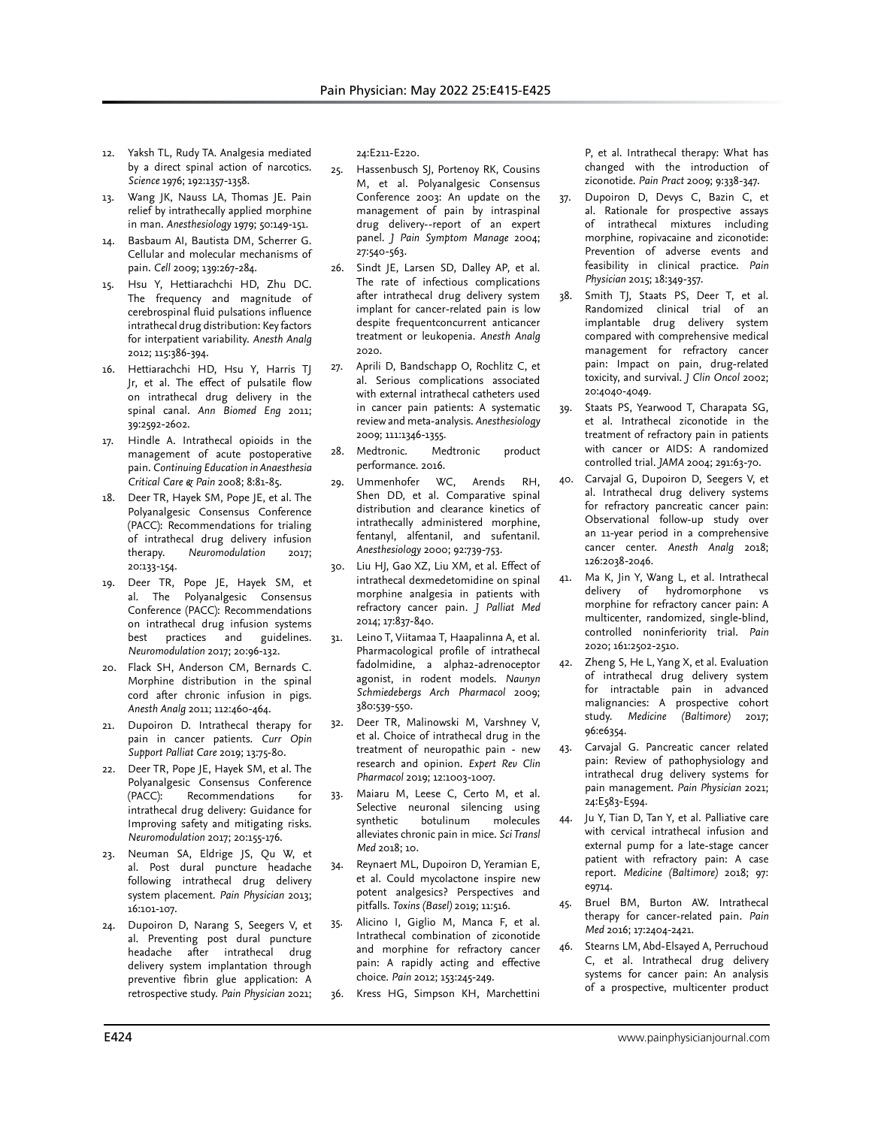- 12. Yaksh TL, Rudy TA. Analgesia mediated by a direct spinal action of narcotics. *Science* 1976; 192:1357-1358.
- 13. Wang JK, Nauss LA, Thomas JE. Pain relief by intrathecally applied morphine in man. *Anesthesiology* 1979; 50:149-151.
- 14. Basbaum AI, Bautista DM, Scherrer G. Cellular and molecular mechanisms of pain. *Cell* 2009; 139:267-284.
- 15. Hsu Y, Hettiarachchi HD, Zhu DC. The frequency and magnitude of cerebrospinal fluid pulsations influence intrathecal drug distribution: Key factors for interpatient variability. *Anesth Analg* 2012; 115:386-394.
- 16. Hettiarachchi HD, Hsu Y, Harris TJ Jr, et al. The effect of pulsatile flow on intrathecal drug delivery in the spinal canal. *Ann Biomed Eng* 2011; 39:2592-2602.
- 17. Hindle A. Intrathecal opioids in the management of acute postoperative pain. *Continuing Education in Anaesthesia Critical Care & Pain* 2008; 8:81-85.
- 18. Deer TR, Hayek SM, Pope JE, et al. The Polyanalgesic Consensus Conference (PACC): Recommendations for trialing of intrathecal drug delivery infusion therapy. Neuromodulation 2017; 20:133-154.
- 19. Deer TR, Pope JE, Hayek SM, et al. The Polyanalgesic Consensus Conference (PACC): Recommendations on intrathecal drug infusion systems best practices and guidelines. *Neuromodulation* 2017; 20:96-132.
- 20. Flack SH, Anderson CM, Bernards C. Morphine distribution in the spinal cord after chronic infusion in pigs. *Anesth Analg* 2011; 112:460-464.
- 21. Dupoiron D. Intrathecal therapy for pain in cancer patients. *Curr Opin Support Palliat Care* 2019; 13:75-80.
- 22. Deer TR, Pope JE, Hayek SM, et al. The Polyanalgesic Consensus Conference (PACC): Recommendations for intrathecal drug delivery: Guidance for Improving safety and mitigating risks. *Neuromodulation* 2017; 20:155-176.
- 23. Neuman SA, Eldrige JS, Qu W, et al. Post dural puncture headache following intrathecal drug delivery system placement. *Pain Physician* 2013; 16:101-107.
- 24. Dupoiron D, Narang S, Seegers V, et al. Preventing post dural puncture headache after intrathecal drug delivery system implantation through preventive fibrin glue application: A retrospective study. *Pain Physician* 2021;

24:E211-E220.

- 25. Hassenbusch SJ, Portenoy RK, Cousins M, et al. Polyanalgesic Consensus Conference 2003: An update on the management of pain by intraspinal drug delivery--report of an expert panel. *J Pain Symptom Manage* 2004; 27:540-563.
- 26. Sindt JE, Larsen SD, Dalley AP, et al. The rate of infectious complications after intrathecal drug delivery system implant for cancer-related pain is low despite frequentconcurrent anticancer treatment or leukopenia. *Anesth Analg* 2020.
- 27. Aprili D, Bandschapp O, Rochlitz C, et al. Serious complications associated with external intrathecal catheters used in cancer pain patients: A systematic review and meta-analysis. *Anesthesiology* 2009; 111:1346-1355.
- 28. Medtronic. Medtronic product performance. 2016.
- 29. Ummenhofer WC, Arends RH, Shen DD, et al. Comparative spinal distribution and clearance kinetics of intrathecally administered morphine, fentanyl, alfentanil, and sufentanil. *Anesthesiology* 2000; 92:739-753.
- Liu HJ, Gao XZ, Liu XM, et al. Effect of intrathecal dexmedetomidine on spinal morphine analgesia in patients with refractory cancer pain. *J Palliat Med* 2014; 17:837-840.
- 31. Leino T, Viitamaa T, Haapalinna A, et al. Pharmacological profile of intrathecal fadolmidine, a alpha2-adrenoceptor agonist, in rodent models. *Naunyn Schmiedebergs Arch Pharmacol* 2009; 380:539-550.
- 32. Deer TR, Malinowski M, Varshney V, et al. Choice of intrathecal drug in the treatment of neuropathic pain - new research and opinion. *Expert Rev Clin Pharmacol* 2019; 12:1003-1007.
- 33. Maiaru M, Leese C, Certo M, et al. Selective neuronal silencing using synthetic botulinum molecules alleviates chronic pain in mice. *Sci Transl Med* 2018; 10.
- 34. Reynaert ML, Dupoiron D, Yeramian E, et al. Could mycolactone inspire new potent analgesics? Perspectives and pitfalls. *Toxins (Basel)* 2019; 11:516.
- 35. Alicino I, Giglio M, Manca F, et al. Intrathecal combination of ziconotide and morphine for refractory cancer pain: A rapidly acting and effective choice. *Pain* 2012; 153:245-249.
- 36. Kress HG, Simpson KH, Marchettini

P, et al. Intrathecal therapy: What has changed with the introduction of ziconotide. *Pain Pract* 2009; 9:338-347.

- 37. Dupoiron D, Devys C, Bazin C, et al. Rationale for prospective assays of intrathecal mixtures including morphine, ropivacaine and ziconotide: Prevention of adverse events and feasibility in clinical practice. *Pain Physician* 2015; 18:349-357.
- 38. Smith TJ, Staats PS, Deer T, et al. Randomized clinical trial of an implantable drug delivery system compared with comprehensive medical management for refractory cancer pain: Impact on pain, drug-related toxicity, and survival. *J Clin Oncol* 2002; 20:4040-4049.
- 39. Staats PS, Yearwood T, Charapata SG, et al. Intrathecal ziconotide in the treatment of refractory pain in patients with cancer or AIDS: A randomized controlled trial. *JAMA* 2004; 291:63-70.
- 40. Carvajal G, Dupoiron D, Seegers V, et al. Intrathecal drug delivery systems for refractory pancreatic cancer pain: Observational follow-up study over an 11-year period in a comprehensive cancer center. *Anesth Analg* 2018; 126:2038-2046.
- 41. Ma K, Jin Y, Wang L, et al. Intrathecal delivery of hydromorphone vs morphine for refractory cancer pain: A multicenter, randomized, single-blind, controlled noninferiority trial. *Pain* 2020; 161:2502-2510.
- 42. Zheng S, He L, Yang X, et al. Evaluation of intrathecal drug delivery system for intractable pain in advanced malignancies: A prospective cohort study. *Medicine (Baltimore)* 2017; 96:e6354.
- Carvajal G. Pancreatic cancer related pain: Review of pathophysiology and intrathecal drug delivery systems for pain management. *Pain Physician* 2021; 24:E583-E594.
- 44. Ju Y, Tian D, Tan Y, et al. Palliative care with cervical intrathecal infusion and external pump for a late-stage cancer patient with refractory pain: A case report. *Medicine (Baltimore)* 2018; 97: e9714.
- 45. Bruel BM, Burton AW. Intrathecal therapy for cancer-related pain. *Pain Med* 2016; 17:2404-2421.
- 46. Stearns LM, Abd-Elsayed A, Perruchoud C, et al. Intrathecal drug delivery systems for cancer pain: An analysis of a prospective, multicenter product